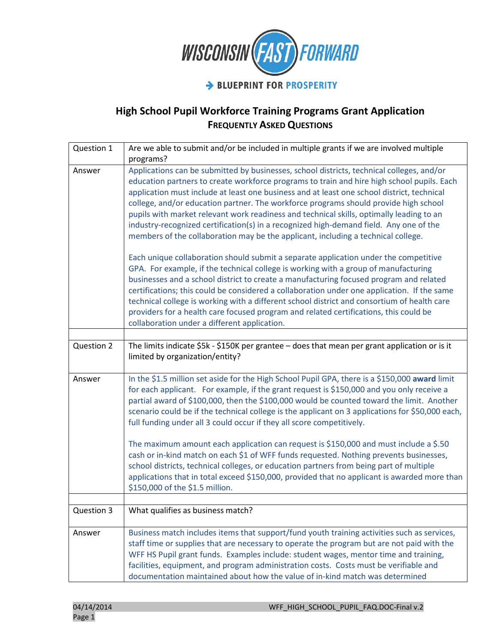

| Question 1 | Are we able to submit and/or be included in multiple grants if we are involved multiple<br>programs?                                                                                                                                                                                                                                                                                                                                                                                                                                                                                                                                                     |
|------------|----------------------------------------------------------------------------------------------------------------------------------------------------------------------------------------------------------------------------------------------------------------------------------------------------------------------------------------------------------------------------------------------------------------------------------------------------------------------------------------------------------------------------------------------------------------------------------------------------------------------------------------------------------|
| Answer     | Applications can be submitted by businesses, school districts, technical colleges, and/or<br>education partners to create workforce programs to train and hire high school pupils. Each<br>application must include at least one business and at least one school district, technical<br>college, and/or education partner. The workforce programs should provide high school<br>pupils with market relevant work readiness and technical skills, optimally leading to an<br>industry-recognized certification(s) in a recognized high-demand field. Any one of the<br>members of the collaboration may be the applicant, including a technical college. |
|            | Each unique collaboration should submit a separate application under the competitive<br>GPA. For example, if the technical college is working with a group of manufacturing<br>businesses and a school district to create a manufacturing focused program and related<br>certifications; this could be considered a collaboration under one application. If the same<br>technical college is working with a different school district and consortium of health care<br>providers for a health care focused program and related certifications, this could be<br>collaboration under a different application.                                             |
|            |                                                                                                                                                                                                                                                                                                                                                                                                                                                                                                                                                                                                                                                          |
| Question 2 | The limits indicate \$5k - \$150K per grantee - does that mean per grant application or is it<br>limited by organization/entity?                                                                                                                                                                                                                                                                                                                                                                                                                                                                                                                         |
| Answer     | In the \$1.5 million set aside for the High School Pupil GPA, there is a \$150,000 award limit<br>for each applicant. For example, if the grant request is \$150,000 and you only receive a<br>partial award of \$100,000, then the \$100,000 would be counted toward the limit. Another<br>scenario could be if the technical college is the applicant on 3 applications for \$50,000 each,<br>full funding under all 3 could occur if they all score competitively.                                                                                                                                                                                    |
|            | The maximum amount each application can request is \$150,000 and must include a \$.50<br>cash or in-kind match on each \$1 of WFF funds requested. Nothing prevents businesses,<br>school districts, technical colleges, or education partners from being part of multiple<br>applications that in total exceed \$150,000, provided that no applicant is awarded more than<br>\$150,000 of the \$1.5 million.                                                                                                                                                                                                                                            |
|            |                                                                                                                                                                                                                                                                                                                                                                                                                                                                                                                                                                                                                                                          |
| Question 3 | What qualifies as business match?                                                                                                                                                                                                                                                                                                                                                                                                                                                                                                                                                                                                                        |
| Answer     | Business match includes items that support/fund youth training activities such as services,<br>staff time or supplies that are necessary to operate the program but are not paid with the<br>WFF HS Pupil grant funds. Examples include: student wages, mentor time and training,<br>facilities, equipment, and program administration costs. Costs must be verifiable and<br>documentation maintained about how the value of in-kind match was determined                                                                                                                                                                                               |

| 04/14/2014 | WFF HIGH SCHOOL PUPIL FAQ.DOC-Final v.2 |
|------------|-----------------------------------------|
| Page 1     |                                         |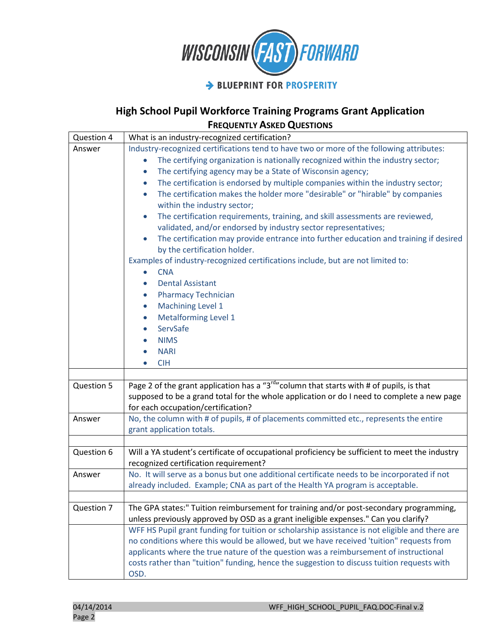

| Question 4 | What is an industry-recognized certification?                                                                                                                                                                                                                                                                                                                                                                                                                                                                                                                                                                                                                                                                                                                                                                                                                                                                                                                                                                                                                                                                                    |
|------------|----------------------------------------------------------------------------------------------------------------------------------------------------------------------------------------------------------------------------------------------------------------------------------------------------------------------------------------------------------------------------------------------------------------------------------------------------------------------------------------------------------------------------------------------------------------------------------------------------------------------------------------------------------------------------------------------------------------------------------------------------------------------------------------------------------------------------------------------------------------------------------------------------------------------------------------------------------------------------------------------------------------------------------------------------------------------------------------------------------------------------------|
| Answer     | Industry-recognized certifications tend to have two or more of the following attributes:<br>The certifying organization is nationally recognized within the industry sector;<br>$\bullet$<br>The certifying agency may be a State of Wisconsin agency;<br>$\bullet$<br>The certification is endorsed by multiple companies within the industry sector;<br>$\bullet$<br>The certification makes the holder more "desirable" or "hirable" by companies<br>within the industry sector;<br>The certification requirements, training, and skill assessments are reviewed,<br>$\bullet$<br>validated, and/or endorsed by industry sector representatives;<br>The certification may provide entrance into further education and training if desired<br>$\bullet$<br>by the certification holder.<br>Examples of industry-recognized certifications include, but are not limited to:<br><b>CNA</b><br><b>Dental Assistant</b><br>$\bullet$<br><b>Pharmacy Technician</b><br>$\bullet$<br>Machining Level 1<br>$\bullet$<br><b>Metalforming Level 1</b><br>$\bullet$<br>ServSafe<br><b>NIMS</b><br><b>NARI</b><br>$\bullet$<br><b>CIH</b> |
| Question 5 | Page 2 of the grant application has a "3 <sup>rd</sup> " column that starts with # of pupils, is that<br>supposed to be a grand total for the whole application or do I need to complete a new page<br>for each occupation/certification?                                                                                                                                                                                                                                                                                                                                                                                                                                                                                                                                                                                                                                                                                                                                                                                                                                                                                        |
| Answer     | No, the column with # of pupils, # of placements committed etc., represents the entire<br>grant application totals.                                                                                                                                                                                                                                                                                                                                                                                                                                                                                                                                                                                                                                                                                                                                                                                                                                                                                                                                                                                                              |
| Question 6 | Will a YA student's certificate of occupational proficiency be sufficient to meet the industry<br>recognized certification requirement?                                                                                                                                                                                                                                                                                                                                                                                                                                                                                                                                                                                                                                                                                                                                                                                                                                                                                                                                                                                          |
| Answer     | No. It will serve as a bonus but one additional certificate needs to be incorporated if not<br>already included. Example; CNA as part of the Health YA program is acceptable.                                                                                                                                                                                                                                                                                                                                                                                                                                                                                                                                                                                                                                                                                                                                                                                                                                                                                                                                                    |
| Question 7 | The GPA states:" Tuition reimbursement for training and/or post-secondary programming,<br>unless previously approved by OSD as a grant ineligible expenses." Can you clarify?<br>WFF HS Pupil grant funding for tuition or scholarship assistance is not eligible and there are<br>no conditions where this would be allowed, but we have received 'tuition" requests from<br>applicants where the true nature of the question was a reimbursement of instructional<br>costs rather than "tuition" funding, hence the suggestion to discuss tuition requests with<br>OSD.                                                                                                                                                                                                                                                                                                                                                                                                                                                                                                                                                        |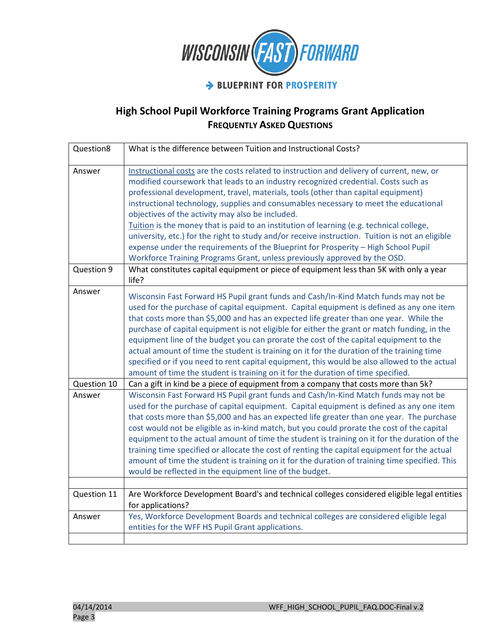

| Question8   | What is the difference between Tuition and Instructional Costs?                                                                                                                                                                                                                                                                                                                                                                                                                                                                                                                                                                                                                                                                                                                    |
|-------------|------------------------------------------------------------------------------------------------------------------------------------------------------------------------------------------------------------------------------------------------------------------------------------------------------------------------------------------------------------------------------------------------------------------------------------------------------------------------------------------------------------------------------------------------------------------------------------------------------------------------------------------------------------------------------------------------------------------------------------------------------------------------------------|
| Answer      | Instructional costs are the costs related to instruction and delivery of current, new, or<br>modified coursework that leads to an industry recognized credential. Costs such as<br>professional development, travel, materials, tools (other than capital equipment)<br>instructional technology, supplies and consumables necessary to meet the educational<br>objectives of the activity may also be included.<br>Tuition is the money that is paid to an institution of learning (e.g. technical college,<br>university, etc.) for the right to study and/or receive instruction. Tuition is not an eligible<br>expense under the requirements of the Blueprint for Prosperity - High School Pupil<br>Workforce Training Programs Grant, unless previously approved by the OSD. |
| Question 9  | What constitutes capital equipment or piece of equipment less than 5K with only a year<br>life?                                                                                                                                                                                                                                                                                                                                                                                                                                                                                                                                                                                                                                                                                    |
| Answer      | Wisconsin Fast Forward HS Pupil grant funds and Cash/In-Kind Match funds may not be<br>used for the purchase of capital equipment. Capital equipment is defined as any one item<br>that costs more than \$5,000 and has an expected life greater than one year. While the<br>purchase of capital equipment is not eligible for either the grant or match funding, in the<br>equipment line of the budget you can prorate the cost of the capital equipment to the<br>actual amount of time the student is training on it for the duration of the training time<br>specified or if you need to rent capital equipment, this would be also allowed to the actual<br>amount of time the student is training on it for the duration of time specified.                                 |
| Question 10 | Can a gift in kind be a piece of equipment from a company that costs more than 5k?                                                                                                                                                                                                                                                                                                                                                                                                                                                                                                                                                                                                                                                                                                 |
| Answer      | Wisconsin Fast Forward HS Pupil grant funds and Cash/In-Kind Match funds may not be<br>used for the purchase of capital equipment. Capital equipment is defined as any one item<br>that costs more than \$5,000 and has an expected life greater than one year. The purchase<br>cost would not be eligible as in-kind match, but you could prorate the cost of the capital<br>equipment to the actual amount of time the student is training on it for the duration of the<br>training time specified or allocate the cost of renting the capital equipment for the actual<br>amount of time the student is training on it for the duration of training time specified. This<br>would be reflected in the equipment line of the budget.                                            |
| Question 11 | Are Workforce Development Board's and technical colleges considered eligible legal entities<br>for applications?                                                                                                                                                                                                                                                                                                                                                                                                                                                                                                                                                                                                                                                                   |
| Answer      | Yes, Workforce Development Boards and technical colleges are considered eligible legal<br>entities for the WFF HS Pupil Grant applications.                                                                                                                                                                                                                                                                                                                                                                                                                                                                                                                                                                                                                                        |